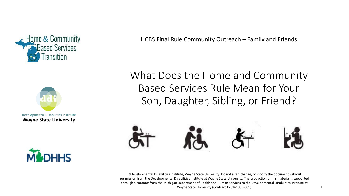



Developmental Disabilities Institute **Wayne State University**



HCBS Final Rule Community Outreach – Family and Friends

#### What Does the Home and Community Based Services Rule Mean for Your Son, Daughter, Sibling, or Friend?



©Developmental Disabilities Institute, Wayne State University. Do not alter, change, or modify the document without permission from the Developmental Disabilities Institute at Wayne State University. The production of this material is supported through a contract from the Michigan Department of Health and Human Services to the Developmental Disabilities Institute at Wayne State University (Contract #20161033-001).

1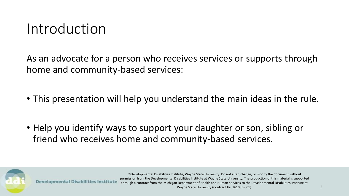#### Introduction

As an advocate for a person who receives services or supports through home and community-based services:

- This presentation will help you understand the main ideas in the rule.
- Help you identify ways to support your daughter or son, sibling or friend who receives home and community-based services.

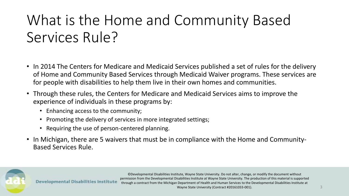# What is the Home and Community Based Services Rule?

- In 2014 The Centers for Medicare and Medicaid Services published a set of rules for the delivery of Home and Community Based Services through Medicaid Waiver programs. These services are for people with disabilities to help them live in their own homes and communities.
- Through these rules, the Centers for Medicare and Medicaid Services aims to improve the experience of individuals in these programs by:
	- Enhancing access to the community;
	- Promoting the delivery of services in more integrated settings;
	- Requiring the use of person-centered planning.
- In Michigan, there are 5 waivers that must be in compliance with the Home and Community-Based Services Rule.

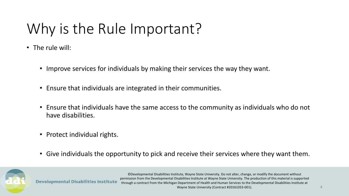# Why is the Rule Important?

- The rule will:
	- Improve services for individuals by making their services the way they want.
	- Ensure that individuals are integrated in their communities.
	- Ensure that individuals have the same access to the community as individuals who do not have disabilities.
	- Protect individual rights.
	- Give individuals the opportunity to pick and receive their services where they want them.

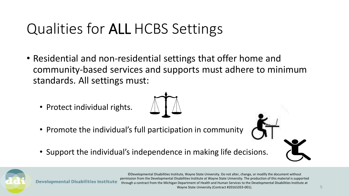## Qualities for ALL HCBS Settings

- Residential and non-residential settings that offer home and community-based services and supports must adhere to minimum standards. All settings must:
	- Protect individual rights.



- Promote the individual's full participation in community
- Support the individual's independence in making life decisions.

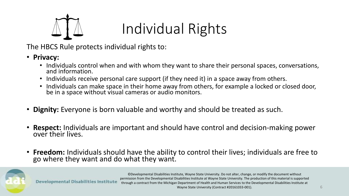

#### Individual Rights

The HBCS Rule protects individual rights to:

- **Privacy:** 
	- Individuals control when and with whom they want to share their personal spaces, conversations, and information.
	- Individuals receive personal care support (if they need it) in a space away from others.
	- Individuals can make space in their home away from others, for example a locked or closed door, be in a space without visual cameras or audio monitors.
- **Dignity:** Everyone is born valuable and worthy and should be treated as such.
- **Respect:** Individuals are important and should have control and decision-making power over their lives.
- **Freedom:** Individuals should have the ability to control their lives; individuals are free to go where they want and do what they want.

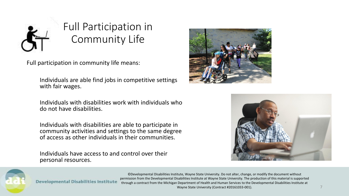

#### Full Participation in Community Life

Full participation in community life means:

Individuals are able find jobs in competitive settings with fair wages.

Individuals with disabilities work with individuals who do not have disabilities.

Individuals with disabilities are able to participate in community activities and settings to the same degree of access as other individuals in their communities.

Individuals have access to and control over their personal resources.







©Developmental Disabilities Institute, Wayne State University. Do not alter, change, or modify the document without permission from the Developmental Disabilities Institute at Wayne State University. The production of this material is supported Developmental Disabilities Institute through a contract from the Michigan Department of Health and Human Services to the Developmental Disabilities Institute at

Wayne State University (Contract #20161033-001).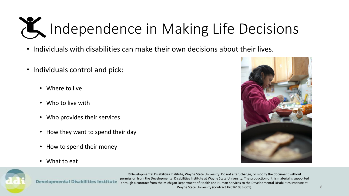# Independence in Making Life Decisions

- Individuals with disabilities can make their own decisions about their lives.
- Individuals control and pick:
	- Where to live
	- Who to live with
	- Who provides their services
	- How they want to spend their day
	- How to spend their money
	- What to eat



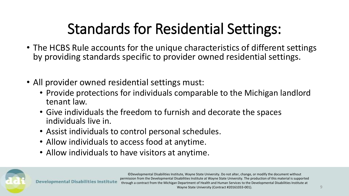# Standards for Residential Settings:

- The HCBS Rule accounts for the unique characteristics of different settings by providing standards specific to provider owned residential settings.
- All provider owned residential settings must:
	- Provide protections for individuals comparable to the Michigan landlord tenant law.
	- Give individuals the freedom to furnish and decorate the spaces individuals live in.
	- Assist individuals to control personal schedules.
	- Allow individuals to access food at anytime.
	- Allow individuals to have visitors at anytime.

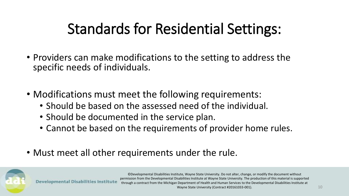# Standards for Residential Settings:

- Providers can make modifications to the setting to address the specific needs of individuals.
- Modifications must meet the following requirements:
	- Should be based on the assessed need of the individual.
	- Should be documented in the service plan.
	- Cannot be based on the requirements of provider home rules.
- Must meet all other requirements under the rule.

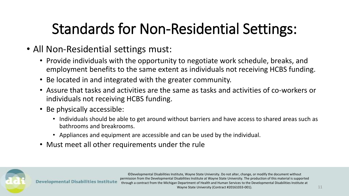# Standards for Non-Residential Settings:

- All Non-Residential settings must:
	- Provide individuals with the opportunity to negotiate work schedule, breaks, and employment benefits to the same extent as individuals not receiving HCBS funding.
	- Be located in and integrated with the greater community.
	- Assure that tasks and activities are the same as tasks and activities of co-workers or individuals not receiving HCBS funding.
	- Be physically accessible:
		- Individuals should be able to get around without barriers and have access to shared areas such as bathrooms and breakrooms.
		- Appliances and equipment are accessible and can be used by the individual.
	- Must meet all other requirements under the rule

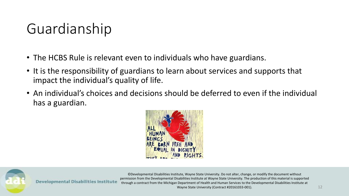## Guardianship

- The HCBS Rule is relevant even to individuals who have guardians.
- It is the responsibility of guardians to learn about services and supports that impact the individual's quality of life.
- An individual's choices and decisions should be deferred to even if the individual has a guardian.



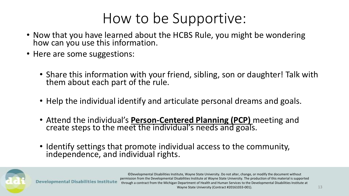### How to be Supportive:

- Now that you have learned about the HCBS Rule, you might be wondering how can you use this information.
- Here are some suggestions:
	- Share this information with your friend, sibling, son or daughter! Talk with them about each part of the rule.
	- Help the individual identify and articulate personal dreams and goals.
	- Attend the individual's **Person-Centered Planning (PCP)** meeting and create steps to the meet the individual's needs and goals.
	- Identify settings that promote individual access to the community, independence, and individual rights.

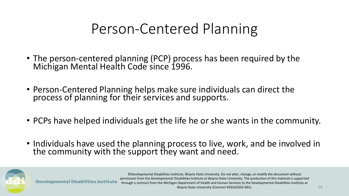#### Person-Centered Planning

- The person-centered planning (PCP) process has been required by the Michigan Mental Health Code since 1996.
- Person-Centered Planning helps make sure individuals can direct the process of planning for their services and supports.
- PCPs have helped individuals get the life he or she wants in the community.
- Individuals have used the planning process to live, work, and be involved in the community with the support they want and need.

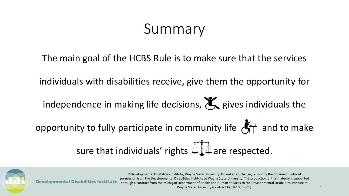#### Summary

The main goal of the HCBS Rule is to make sure that the services

individuals with disabilities receive, give them the opportunity for

independence in making life decisions,  $\sum$  gives individuals the

opportunity to fully participate in community life  $\mathbf{A}^+$  and to make sure that individuals' rights  $\Delta T\Delta$  are respected.